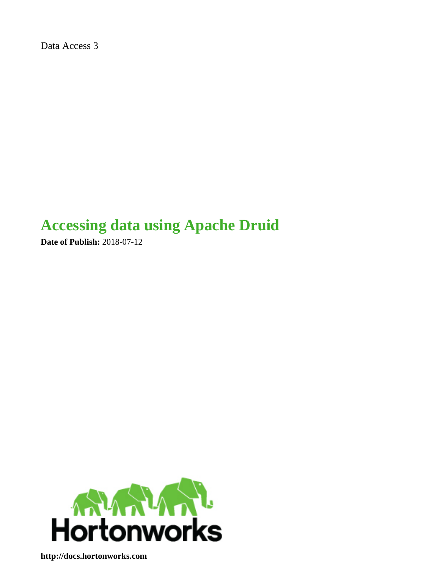Data Access 3

# **Accessing data using Apache Druid**

**Date of Publish:** 2018-07-12



**<http://docs.hortonworks.com>**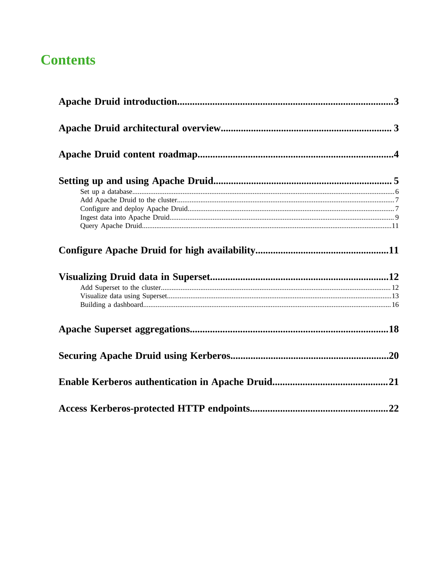# **Contents**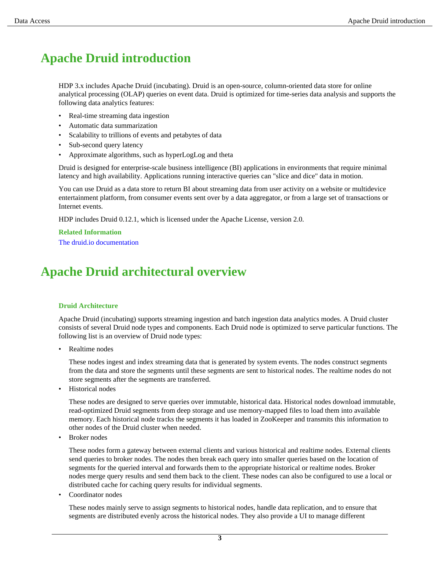# <span id="page-2-0"></span>**Apache Druid introduction**

HDP 3.x includes Apache Druid (incubating). Druid is an open-source, column-oriented data store for online analytical processing (OLAP) queries on event data. Druid is optimized for time-series data analysis and supports the following data analytics features:

- Real-time streaming data ingestion
- Automatic data summarization
- Scalability to trillions of events and petabytes of data
- Sub-second query latency
- Approximate algorithms, such as hyperLogLog and theta

Druid is designed for enterprise-scale business intelligence (BI) applications in environments that require minimal latency and high availability. Applications running interactive queries can "slice and dice" data in motion.

You can use Druid as a data store to return BI about streaming data from user activity on a website or multidevice entertainment platform, from consumer events sent over by a data aggregator, or from a large set of transactions or Internet events.

HDP includes Druid 0.12.1, which is licensed under the Apache License, version 2.0.

**Related Information** [The druid.io documentation](http://druid.io/docs/latest/design/)

# <span id="page-2-1"></span>**Apache Druid architectural overview**

#### **Druid Architecture**

Apache Druid (incubating) supports streaming ingestion and batch ingestion data analytics modes. A Druid cluster consists of several Druid node types and components. Each Druid node is optimized to serve particular functions. The following list is an overview of Druid node types:

Realtime nodes

These nodes ingest and index streaming data that is generated by system events. The nodes construct segments from the data and store the segments until these segments are sent to historical nodes. The realtime nodes do not store segments after the segments are transferred.

• Historical nodes

These nodes are designed to serve queries over immutable, historical data. Historical nodes download immutable, read-optimized Druid segments from deep storage and use memory-mapped files to load them into available memory. Each historical node tracks the segments it has loaded in ZooKeeper and transmits this information to other nodes of the Druid cluster when needed.

• Broker nodes

These nodes form a gateway between external clients and various historical and realtime nodes. External clients send queries to broker nodes. The nodes then break each query into smaller queries based on the location of segments for the queried interval and forwards them to the appropriate historical or realtime nodes. Broker nodes merge query results and send them back to the client. These nodes can also be configured to use a local or distributed cache for caching query results for individual segments.

Coordinator nodes

These nodes mainly serve to assign segments to historical nodes, handle data replication, and to ensure that segments are distributed evenly across the historical nodes. They also provide a UI to manage different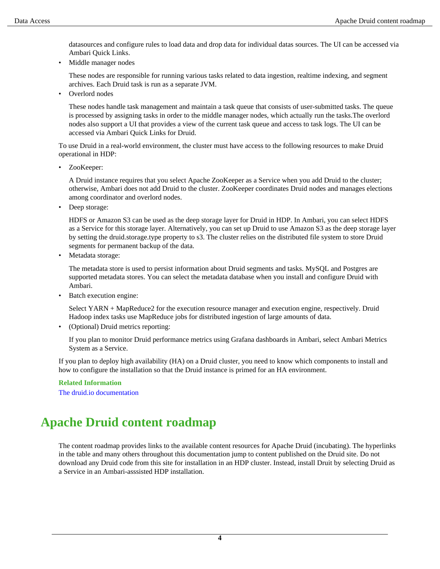datasources and configure rules to load data and drop data for individual datas sources. The UI can be accessed via Ambari Quick Links.

• Middle manager nodes

These nodes are responsible for running various tasks related to data ingestion, realtime indexing, and segment archives. Each Druid task is run as a separate JVM.

Overlord nodes

These nodes handle task management and maintain a task queue that consists of user-submitted tasks. The queue is processed by assigning tasks in order to the middle manager nodes, which actually run the tasks.The overlord nodes also support a UI that provides a view of the current task queue and access to task logs. The UI can be accessed via Ambari Quick Links for Druid.

To use Druid in a real-world environment, the cluster must have access to the following resources to make Druid operational in HDP:

• ZooKeeper:

A Druid instance requires that you select Apache ZooKeeper as a Service when you add Druid to the cluster; otherwise, Ambari does not add Druid to the cluster. ZooKeeper coordinates Druid nodes and manages elections among coordinator and overlord nodes.

Deep storage:

HDFS or Amazon S3 can be used as the deep storage layer for Druid in HDP. In Ambari, you can select HDFS as a Service for this storage layer. Alternatively, you can set up Druid to use Amazon S3 as the deep storage layer by setting the druid.storage.type property to s3. The cluster relies on the distributed file system to store Druid segments for permanent backup of the data.

Metadata storage:

The metadata store is used to persist information about Druid segments and tasks. MySQL and Postgres are supported metadata stores. You can select the metadata database when you install and configure Druid with Ambari.

Batch execution engine:

Select YARN + MapReduce2 for the execution resource manager and execution engine, respectively. Druid Hadoop index tasks use MapReduce jobs for distributed ingestion of large amounts of data.

• (Optional) Druid metrics reporting:

If you plan to monitor Druid performance metrics using Grafana dashboards in Ambari, select Ambari Metrics System as a Service.

If you plan to deploy high availability (HA) on a Druid cluster, you need to know which components to install and how to configure the installation so that the Druid instance is primed for an HA environment.

#### **Related Information**

[The druid.io documentation](http://druid.io/docs/latest/design/)

# <span id="page-3-0"></span>**Apache Druid content roadmap**

The content roadmap provides links to the available content resources for Apache Druid (incubating). The hyperlinks in the table and many others throughout this documentation jump to content published on the Druid site. Do not download any Druid code from this site for installation in an HDP cluster. Instead, install Druit by selecting Druid as a Service in an Ambari-asssisted HDP installation.

**4**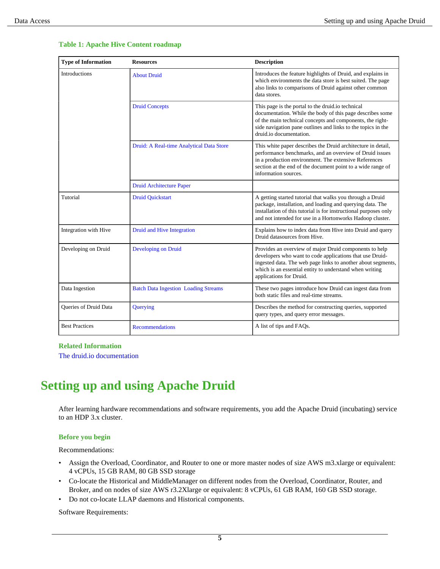| <b>Type of Information</b>   | <b>Resources</b>                            | <b>Description</b>                                                                                                                                                                                                                                                       |
|------------------------------|---------------------------------------------|--------------------------------------------------------------------------------------------------------------------------------------------------------------------------------------------------------------------------------------------------------------------------|
| Introductions                | <b>About Druid</b>                          | Introduces the feature highlights of Druid, and explains in<br>which environments the data store is best suited. The page<br>also links to comparisons of Druid against other common<br>data stores.                                                                     |
|                              | <b>Druid Concepts</b>                       | This page is the portal to the druid.io technical<br>documentation. While the body of this page describes some<br>of the main technical concepts and components, the right-<br>side navigation pane outlines and links to the topics in the<br>druid.io documentation.   |
|                              | Druid: A Real-time Analytical Data Store    | This white paper describes the Druid architecture in detail,<br>performance benchmarks, and an overview of Druid issues<br>in a production environment. The extensive References<br>section at the end of the document point to a wide range of<br>information sources.  |
|                              | <b>Druid Architecture Paper</b>             |                                                                                                                                                                                                                                                                          |
| Tutorial                     | <b>Druid Quickstart</b>                     | A getting started tutorial that walks you through a Druid<br>package, installation, and loading and querying data. The<br>installation of this tutorial is for instructional purposes only<br>and not intended for use in a Hortonworks Hadoop cluster.                  |
| Integration with Hive        | Druid and Hive Integration                  | Explains how to index data from Hive into Druid and query<br>Druid datasources from Hive.                                                                                                                                                                                |
| Developing on Druid          | <b>Developing on Druid</b>                  | Provides an overview of major Druid components to help<br>developers who want to code applications that use Druid-<br>ingested data. The web page links to another about segments,<br>which is an essential entity to understand when writing<br>applications for Druid. |
| Data Ingestion               | <b>Batch Data Ingestion Loading Streams</b> | These two pages introduce how Druid can ingest data from<br>both static files and real-time streams.                                                                                                                                                                     |
| <b>Oueries of Druid Data</b> | Querying                                    | Describes the method for constructing queries, supported<br>query types, and query error messages.                                                                                                                                                                       |
| <b>Best Practices</b>        | <b>Recommendations</b>                      | A list of tips and FAQs.                                                                                                                                                                                                                                                 |

#### **Table 1: Apache Hive Content roadmap**

#### **Related Information**

[The druid.io documentation](http://druid.io/docs/latest/design/)

# <span id="page-4-0"></span>**Setting up and using Apache Druid**

After learning hardware recommendations and software requirements, you add the Apache Druid (incubating) service to an HDP 3.x cluster.

#### **Before you begin**

Recommendations:

- Assign the Overload, Coordinator, and Router to one or more master nodes of size AWS m3.xlarge or equivalent: 4 vCPUs, 15 GB RAM, 80 GB SSD storage
- Co-locate the Historical and MiddleManager on different nodes from the Overload, Coordinator, Router, and Broker, and on nodes of size AWS r3.2Xlarge or equivalent: 8 vCPUs, 61 GB RAM, 160 GB SSD storage.
- Do not co-locate LLAP daemons and Historical components.

Software Requirements: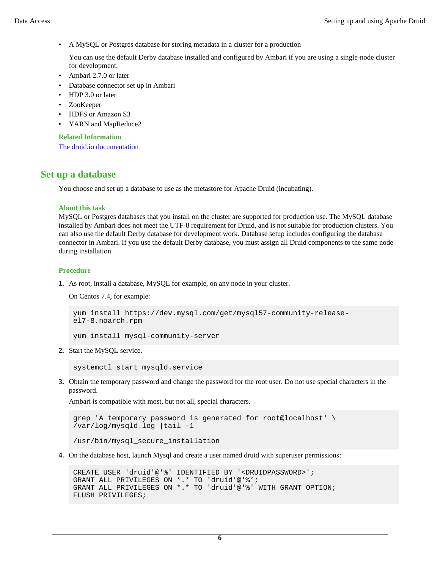• A MySQL or Postgres database for storing metadata in a cluster for a production

You can use the default Derby database installed and configured by Ambari if you are using a single-node cluster for development.

- Ambari 2.7.0 or later
- Database connector set up in Ambari
- HDP 3.0 or later
- ZooKeeper
- HDFS or Amazon S3
- YARN and MapReduce2

#### **Related Information**

[The druid.io documentation](http://druid.io/docs/latest/design/)

## <span id="page-5-0"></span>**Set up a database**

You choose and set up a database to use as the metastore for Apache Druid (incubating).

#### **About this task**

MySQL or Postgres databases that you install on the cluster are supported for production use. The MySQL database installed by Ambari does not meet the UTF-8 requirement for Druid, and is not suitable for production clusters. You can also use the default Derby database for development work. Database setup includes configuring the database connector in Ambari. If you use the default Derby database, you must assign all Druid components to the same node during installation.

#### **Procedure**

**1.** As root, install a database, MySQL for example, on any node in your cluster.

On Centos 7.4, for example:

```
yum install https://dev.mysql.com/get/mysql57-community-release-
el7-8.noarch.rpm
```
yum install mysql-community-server

**2.** Start the MySQL service.

systemctl start mysqld.service

**3.** Obtain the temporary password and change the password for the root user. Do not use special characters in the password.

Ambari is compatible with most, but not all, special characters.

```
grep 'A temporary password is generated for root@localhost' \
/var/log/mysqld.log |tail -1
```

```
/usr/bin/mysql_secure_installation
```
**4.** On the database host, launch Mysql and create a user named druid with superuser permissions:

```
CREATE USER 'druid'@'%' IDENTIFIED BY '<DRUIDPASSWORD>';
GRANT ALL PRIVILEGES ON *.* TO 'druid'@'%';
GRANT ALL PRIVILEGES ON *.* TO 'druid'@'%' WITH GRANT OPTION;
FLUSH PRIVILEGES;
```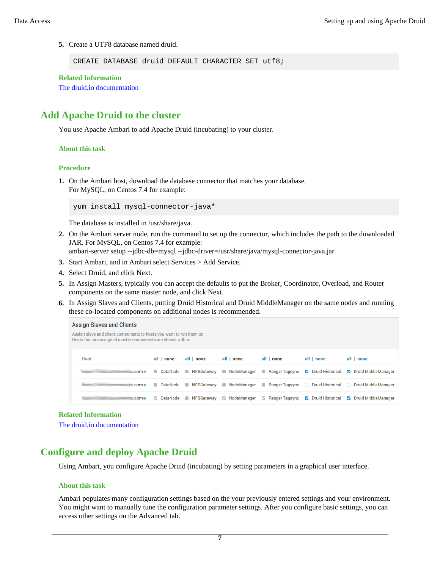**5.** Create a UTF8 database named druid.

CREATE DATABASE druid DEFAULT CHARACTER SET utf8;

**Related Information**

[The druid.io documentation](http://druid.io/docs/latest/design/)

## <span id="page-6-0"></span>**Add Apache Druid to the cluster**

You use Apache Ambari to add Apache Druid (incubating) to your cluster.

#### **About this task**

#### **Procedure**

**1.** On the Ambari host, download the database connector that matches your database. For MySQL, on Centos 7.4 for example:

yum install mysql-connector-java\*

The database is installed in /usr/share/java.

**2.** On the Ambari server node, run the command to set up the connector, which includes the path to the downloaded JAR. For MySQL, on Centos 7.4 for example:

ambari-server setup --jdbc-db=mysql --jdbc-driver=/usr/share/java/mysql-connector-java.jar

- **3.** Start Ambari, and in Ambari select Services > Add Service.
- **4.** Select Druid, and click Next.
- **5.** In Assign Masters, typically you can accept the defaults to put the Broker, Coordinator, Overload, and Router components on the same master node, and click Next.
- **6.** In Assign Slaves and Clients, putting Druid Historical and Druid MiddleManager on the same nodes and running these co-located components on additional nodes is recommended.

| <b>Assign Slaves and Clients</b>                                                                                                       |            |                     |                                 |                                                                   |                                   |                              |
|----------------------------------------------------------------------------------------------------------------------------------------|------------|---------------------|---------------------------------|-------------------------------------------------------------------|-----------------------------------|------------------------------|
| Assign slave and client components to hosts you want to run them on.<br>Hosts that are assigned master components are shown with $*$ . |            |                     |                                 |                                                                   |                                   |                              |
| <b>Host</b>                                                                                                                            | all   none | all   none          | all   none                      | all   none                                                        | all I none                        | all   none                   |
| $\equiv$ .com $\ast$                                                                                                                   |            |                     | DataNode NFSGateway NodeManager | Ranger Tagsync                                                    | <b>Z</b> Druid Historical         | <b>Z</b> Druid MiddleManager |
| <b>Castronomy Committee Committee</b><br>s.com*                                                                                        |            |                     |                                 | DataNode NFSGateway NodeManager Ranger Tagsync Druid Historical D |                                   | <b>Druid MiddleManager</b>   |
| $5.$ com $*$                                                                                                                           |            | DataNode NFSGateway | ModeManager                     |                                                                   | Ranger Tagsync V Druid Historical | <b>Z</b> Druid MiddleManager |

#### **Related Information**

[The druid.io documentation](http://druid.io/docs/latest/design/)

## <span id="page-6-1"></span>**Configure and deploy Apache Druid**

Using Ambari, you configure Apache Druid (incubating) by setting parameters in a graphical user interface.

#### **About this task**

Ambari populates many configuration settings based on the your previously entered settings and your environment. You might want to manually tune the configuration parameter settings. After you configure basic settings, you can access other settings on the Advanced tab.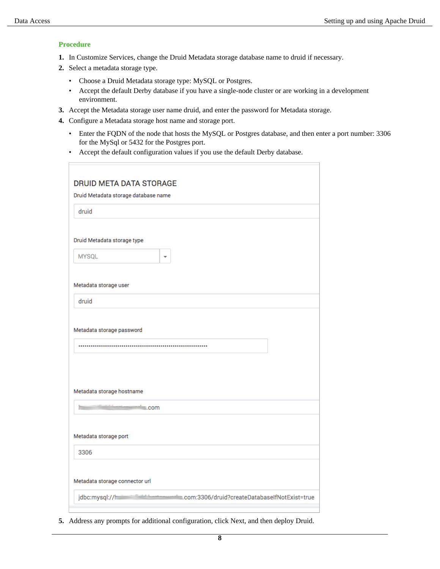#### **Procedure**

- **1.** In Customize Services, change the Druid Metadata storage database name to druid if necessary.
- **2.** Select a metadata storage type.
	- Choose a Druid Metadata storage type: MySQL or Postgres.
	- Accept the default Derby database if you have a single-node cluster or are working in a development environment.
- **3.** Accept the Metadata storage user name druid, and enter the password for Metadata storage.
- **4.** Configure a Metadata storage host name and storage port.
	- Enter the FQDN of the node that hosts the MySQL or Postgres database, and then enter a port number: 3306 for the MySql or 5432 for the Postgres port.
	- Accept the default configuration values if you use the default Derby database.

**5.** Address any prompts for additional configuration, click Next, and then deploy Druid.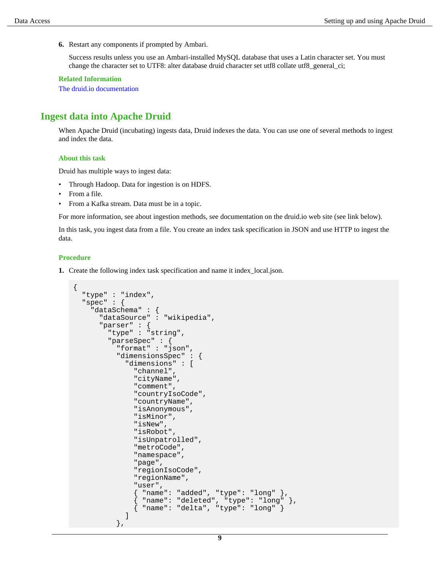**6.** Restart any components if prompted by Ambari.

Success results unless you use an Ambari-installed MySQL database that uses a Latin character set. You must change the character set to UTF8: alter database druid character set utf8 collate utf8\_general\_ci;

#### **Related Information**

[The druid.io documentation](http://druid.io/docs/latest/design/)

### <span id="page-8-0"></span>**Ingest data into Apache Druid**

When Apache Druid (incubating) ingests data, Druid indexes the data. You can use one of several methods to ingest and index the data.

#### **About this task**

Druid has multiple ways to ingest data:

- Through Hadoop. Data for ingestion is on HDFS.
- From a file.
- From a Kafka stream. Data must be in a topic.

For more information, see about ingestion methods, see documentation on the druid.io web site (see link below).

In this task, you ingest data from a file. You create an index task specification in JSON and use HTTP to ingest the data.

#### **Procedure**

**1.** Create the following index task specification and name it index\_local.json.

```
\{ "type" : "index",
   "spec" : {
     "dataSchema" : {
       "dataSource" : "wikipedia",
       "parser" : {
         "type" : "string",
         "parseSpec" : {
           "format" : "json",
           "dimensionsSpec" : {
             "dimensions" : [
               "channel",
               "cityName",
               "comment",
               "countryIsoCode",
               "countryName",
               "isAnonymous",
               "isMinor",
               "isNew",
               "isRobot",
               "isUnpatrolled",
               "metroCode",
               "namespace",
               "page",
               "regionIsoCode",
               "regionName",
               "user",
 { "name": "added", "type": "long" },
 { "name": "deleted", "type": "long" },
 { "name": "delta", "type": "long" }
 ]
           },
```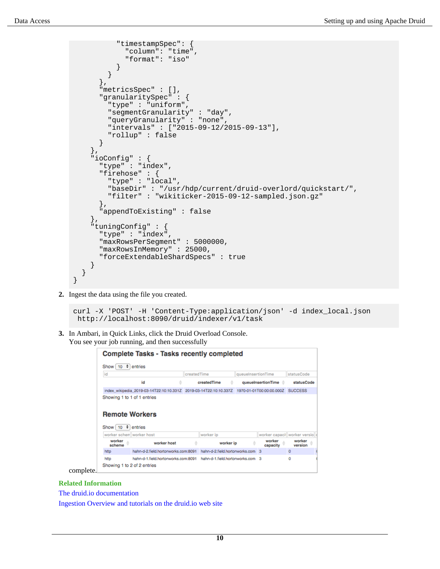```
 "timestampSpec": {
              "column": "time",
           "format": "iso"
 }
         }
       },
       "metricsSpec" : [],
       "granularitySpec" : {
         "type" : "uniform",
         "segmentGranularity" : "day",
         "queryGranularity" : "none",
         "intervals" : ["2015-09-12/2015-09-13"],
         "rollup" : false
       }
     },
     "ioConfig" : {
       "type" : "index",
       "firehose" : {
         "type" : "local",
         "baseDir" : "/usr/hdp/current/druid-overlord/quickstart/",
         "filter" : "wikiticker-2015-09-12-sampled.json.gz"
       },
       "appendToExisting" : false
     },
     "tuningConfig" : {
       "type" : "index",
       "maxRowsPerSegment" : 5000000,
       "maxRowsInMemory" : 25000,
       "forceExtendableShardSpecs" : true
     }
   }
}
```
**2.** Ingest the data using the file you created.

```
curl -X 'POST' -H 'Content-Type:application/json' -d index_local.json
 http://localhost:8090/druid/indexer/v1/task
```
**3.** In Ambari, in Quick Links, click the Druid Overload Console. You see your job running, and then successfully

|                                            | <b>Complete Tasks - Tasks recently completed</b>                  |             |                                  |           |                          |                                 |                   |  |
|--------------------------------------------|-------------------------------------------------------------------|-------------|----------------------------------|-----------|--------------------------|---------------------------------|-------------------|--|
| $\div$<br>Show [<br>10 <sub>10</sub>       | entries                                                           |             |                                  |           |                          |                                 |                   |  |
| id                                         |                                                                   | createdTime |                                  |           | queueInsertionTime       |                                 | statusCode        |  |
|                                            | Ιd                                                                |             | createdTime                      |           |                          | queuelnsertionTime <sup>2</sup> | statusCode        |  |
|                                            | index_wikipedia_2019-03-14T22:10:10.331Z 2019-03-14T22:10:10.337Z |             |                                  |           | 1970-01-01T00:00:00.000Z |                                 | <b>SUCCESS</b>    |  |
| <b>Remote Workers</b><br>٠<br>Show [<br>10 | entries                                                           |             |                                  |           |                          |                                 |                   |  |
| worker scherrliworker host                 |                                                                   |             | worker ip                        |           |                          | worker capacil worker versio    |                   |  |
| worker<br>scheme                           | worker host                                                       |             |                                  | worker ip |                          | worker<br>capacity              | worker<br>version |  |
| http                                       | hahn-d-2.field.hortonworks.com:8091                               |             | hahn-d-2.field.hortonworks.com 3 |           |                          |                                 | $\circ$           |  |
| http<br>Showing 1 to 2 of 2 entries        | habn-d-1 field hortonworks com:8091                               |             | hahn-d-1.field.hortonworks.com 3 |           |                          |                                 | ō                 |  |

complete.

#### **Related Information**

[The druid.io documentation](http://druid.io/docs/latest/design/)

[Ingestion Overview and tutorials on the druid.io web site](http://druid.io/docs/latest/ingestion/index.html)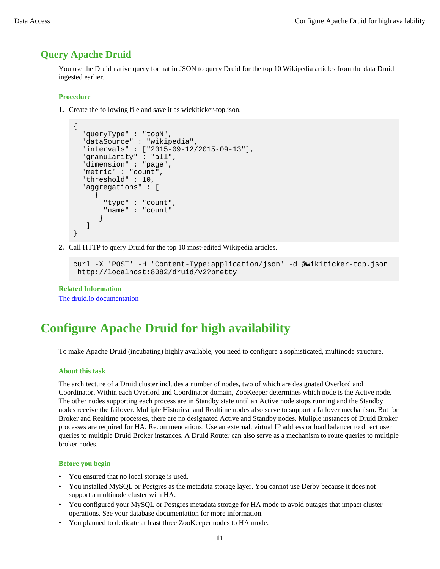## <span id="page-10-0"></span>**Query Apache Druid**

You use the Druid native query format in JSON to query Druid for the top 10 Wikipedia articles from the data Druid ingested earlier.

#### **Procedure**

**1.** Create the following file and save it as wickiticker-top.json.

```
\{ "queryType" : "topN",
   "dataSource" : "wikipedia",
   "intervals" : ["2015-09-12/2015-09-13"],
   "granularity" : "all",
   "dimension" : "page",
   "metric" : "count",
   "threshold" : 10,
   "aggregations" : [
\left\{\begin{array}{ccc} \end{array}\right\} "type" : "count",
         "name" : "count"
 }
    ]
}
```
**2.** Call HTTP to query Druid for the top 10 most-edited Wikipedia articles.

```
curl -X 'POST' -H 'Content-Type:application/json' -d @wikiticker-top.json
 http://localhost:8082/druid/v2?pretty
```
#### **Related Information**

[The druid.io documentation](http://druid.io/docs/latest/design/)

## <span id="page-10-1"></span>**Configure Apache Druid for high availability**

To make Apache Druid (incubating) highly available, you need to configure a sophisticated, multinode structure.

#### **About this task**

The architecture of a Druid cluster includes a number of nodes, two of which are designated Overlord and Coordinator. Within each Overlord and Coordinator domain, ZooKeeper determines which node is the Active node. The other nodes supporting each process are in Standby state until an Active node stops running and the Standby nodes receive the failover. Multiple Historical and Realtime nodes also serve to support a failover mechanism. But for Broker and Realtime processes, there are no designated Active and Standby nodes. Muliple instances of Druid Broker processes are required for HA. Recommendations: Use an external, virtual IP address or load balancer to direct user queries to multiple Druid Broker instances. A Druid Router can also serve as a mechanism to route queries to multiple broker nodes.

#### **Before you begin**

- You ensured that no local storage is used.
- You installed MySQL or Postgres as the metadata storage layer. You cannot use Derby because it does not support a multinode cluster with HA.
- You configured your MySQL or Postgres metadata storage for HA mode to avoid outages that impact cluster operations. See your database documentation for more information.
- You planned to dedicate at least three ZooKeeper nodes to HA mode.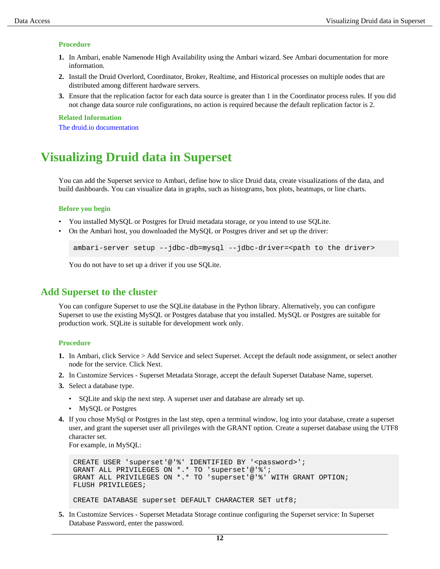#### **Procedure**

- **1.** In Ambari, enable Namenode High Availability using the Ambari wizard. See Ambari documentation for more information.
- **2.** Install the Druid Overlord, Coordinator, Broker, Realtime, and Historical processes on multiple nodes that are distributed among different hardware servers.
- **3.** Ensure that the replication factor for each data source is greater than 1 in the Coordinator process rules. If you did not change data source rule configurations, no action is required because the default replication factor is 2.

**Related Information** [The druid.io documentation](http://druid.io/docs/latest/design/)

## <span id="page-11-0"></span>**Visualizing Druid data in Superset**

You can add the Superset service to Ambari, define how to slice Druid data, create visualizations of the data, and build dashboards. You can visualize data in graphs, such as histograms, box plots, heatmaps, or line charts.

#### **Before you begin**

- You installed MySQL or Postgres for Druid metadata storage, or you intend to use SQLite.
- On the Ambari host, you downloaded the MySQL or Postgres driver and set up the driver:

```
ambari-server setup --jdbc-db=mysql --jdbc-driver=<path to the driver>
```
You do not have to set up a driver if you use SQLite.

## <span id="page-11-1"></span>**Add Superset to the cluster**

You can configure Superset to use the SQLite database in the Python library. Alternatively, you can configure Superset to use the existing MySQL or Postgres database that you installed. MySQL or Postgres are suitable for production work. SQLite is suitable for development work only.

#### **Procedure**

- **1.** In Ambari, click Service > Add Service and select Superset. Accept the default node assignment, or select another node for the service. Click Next.
- **2.** In Customize Services Superset Metadata Storage, accept the default Superset Database Name, superset.
- **3.** Select a database type.
	- SQLite and skip the next step. A superset user and database are already set up.
	- MySQL or Postgres
- **4.** If you chose MySql or Postgres in the last step, open a terminal window, log into your database, create a superset user, and grant the superset user all privileges with the GRANT option. Create a superset database using the UTF8 character set.

For example, in MySQL:

```
CREATE USER 'superset'@'%' IDENTIFIED BY '<password>';
GRANT ALL PRIVILEGES ON *.* TO 'superset'@'%';
GRANT ALL PRIVILEGES ON *.* TO 'superset'@'%' WITH GRANT OPTION;
FLUSH PRIVILEGES;
```
CREATE DATABASE superset DEFAULT CHARACTER SET utf8;

**5.** In Customize Services - Superset Metadata Storage continue configuring the Superset service: In Superset Database Password, enter the password.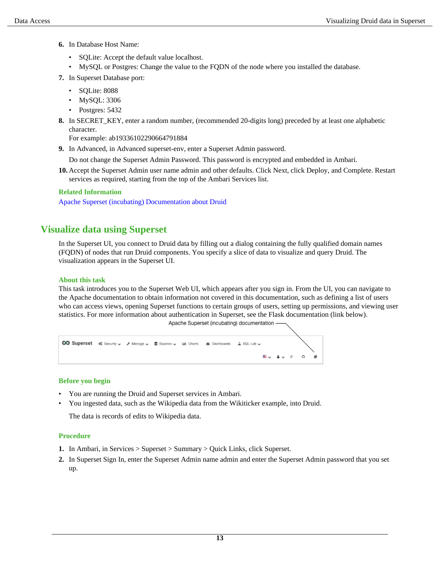- **6.** In Database Host Name:
	- SQLite: Accept the default value localhost.
	- MySQL or Postgres: Change the value to the FQDN of the node where you installed the database.
- **7.** In Superset Database port:
	- SQLite: 8088
	- MySQL: 3306
	- Postgres: 5432
- **8.** In SECRET\_KEY, enter a random number, (recommended 20-digits long) preceded by at least one alphabetic character.

For example: ab19336102290664791884

**9.** In Advanced, in Advanced superset-env, enter a Superset Admin password.

Do not change the Superset Admin Password. This password is encrypted and embedded in Ambari.

**10.** Accept the Superset Admin user name admin and other defaults. Click Next, click Deploy, and Complete. Restart services as required, starting from the top of the Ambari Services list.

#### **Related Information**

[Apache Superset \(incubating\) Documentation about Druid](https://superset.incubator.apache.org/druid.html)

## <span id="page-12-0"></span>**Visualize data using Superset**

In the Superset UI, you connect to Druid data by filling out a dialog containing the fully qualified domain names (FQDN) of nodes that run Druid components. You specify a slice of data to visualize and query Druid. The visualization appears in the Superset UI.

#### **About this task**

This task introduces you to the Superset Web UI, which appears after you sign in. From the UI, you can navigate to the Apache documentation to obtain information not covered in this documentation, such as defining a list of users who can access views, opening Superset functions to certain groups of users, setting up permissions, and viewing user statistics. For more information about authentication in Superset, see the Flask documentation (link below). Apache Superset (incubating) documentation



#### **Before you begin**

- You are running the Druid and Superset services in Ambari.
- You ingested data, such as the Wikipedia data from the Wikiticker example, into Druid.

The data is records of edits to Wikipedia data.

#### **Procedure**

- **1.** In Ambari, in Services > Superset > Summary > Quick Links, click Superset.
- **2.** In Superset Sign In, enter the Superset Admin name admin and enter the Superset Admin password that you set up.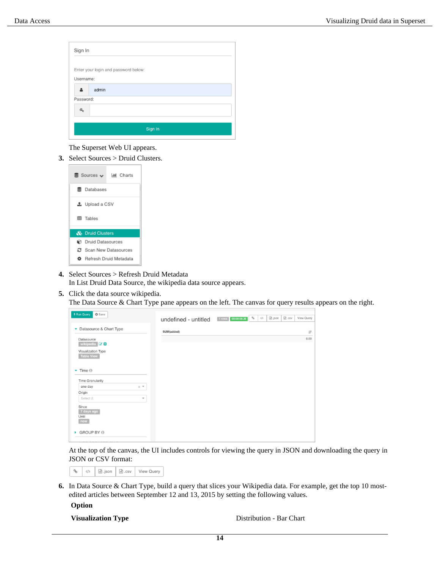| Sign In   |                                      |
|-----------|--------------------------------------|
|           | Enter your login and password below: |
| Username: |                                      |
|           | admin                                |
| Password: |                                      |
| a.        |                                      |
|           |                                      |
|           | Sign In                              |
|           |                                      |

The Superset Web UI appears.

**3.** Select Sources > Druid Clusters.



- **4.** Select Sources > Refresh Druid Metadata In List Druid Data Source, the wikipedia data source appears.
- **5.** Click the data source wikipedia.

The Data Source & Chart Type pane appears on the left. The canvas for query results appears on the right.

| + Run Query<br>O Save                         |                      |                    |     |               |       |                   |
|-----------------------------------------------|----------------------|--------------------|-----|---------------|-------|-------------------|
|                                               | undefined - untitled | 1 rows 00:00:00.20 | KD. | <b>B</b> json | 0.08V | <b>View Query</b> |
| • Datasource & Chart Type                     | SUM(added)           |                    |     |               |       | $17$              |
| Datasource<br>wikipedia <b>E</b> <sup>+</sup> |                      |                    |     |               |       | 0.00              |
| Visualization Type<br><b>Table View</b>       |                      |                    |     |               |       |                   |
| $\blacktriangleright$ Time $\odot$            |                      |                    |     |               |       |                   |
| Time Granularity                              |                      |                    |     |               |       |                   |
| one day<br>$\times$ $\pi$                     |                      |                    |     |               |       |                   |
| Origin                                        |                      |                    |     |               |       |                   |
| Select 2<br>$\overline{\phantom{a}}$          |                      |                    |     |               |       |                   |
| Since<br>7 days ago<br>Until<br>now           |                      |                    |     |               |       |                   |
| GROUP BY @                                    |                      |                    |     |               |       |                   |

At the top of the canvas, the UI includes controls for viewing the query in JSON and downloading the query in JSON or CSV format:

|  |  | $\frac{1}{6}$ $\phi$ $\frac{1}{6}$ ison $\frac{1}{6}$ .csv |  | View Query |
|--|--|------------------------------------------------------------|--|------------|
|--|--|------------------------------------------------------------|--|------------|

**6.** In Data Source & Chart Type, build a query that slices your Wikipedia data. For example, get the top 10 mostedited articles between September 12 and 13, 2015 by setting the following values.

**Option**

**Visualization Type** Distribution - Bar Chart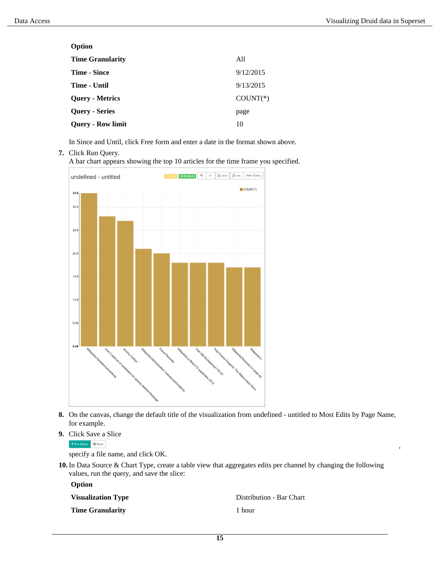,

| Option                   |            |
|--------------------------|------------|
| <b>Time Granularity</b>  | All        |
| <b>Time - Since</b>      | 9/12/2015  |
| <b>Time - Until</b>      | 9/13/2015  |
| <b>Query - Metrics</b>   | $COUNT(*)$ |
| <b>Query - Series</b>    | page       |
| <b>Query - Row limit</b> | 10         |
|                          |            |

In Since and Until, click Free form and enter a date in the format shown above.

#### **7.** Click Run Query.

A bar chart appears showing the top 10 articles for the time frame you specified.



- **8.** On the canvas, change the default title of the visualization from undefined untitled to Most Edits by Page Name, for example.
- **9.** Click Save a Slice

FRun Query | © Save

specify a file name, and click OK.

**10.** In Data Source & Chart Type, create a table view that aggregates edits per channel by changing the following values, run the query, and save the slice:

**Option**

**Time Granularity** 1 hour

**Visualization Type** Distribution - Bar Chart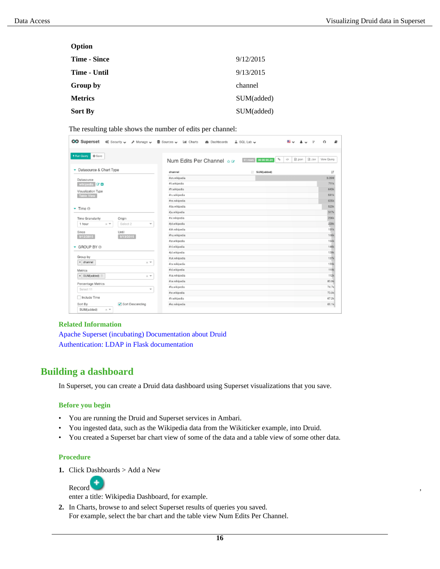| Option         |            |
|----------------|------------|
| Time - Since   | 9/12/2015  |
| Time - Until   | 9/13/2015  |
| Group by       | channel    |
| <b>Metrics</b> | SUM(added) |
| <b>Sort By</b> | SUM(added) |

The resulting table shows the number of edits per channel:

| + Run Query<br>O Save                       |                                   | Num Edits Per Channel $\sim \infty$ | q,<br>$Q$<br>51 rows 00:00:00.24 | $B.$ cav<br><b>View Query</b><br>D) json |
|---------------------------------------------|-----------------------------------|-------------------------------------|----------------------------------|------------------------------------------|
| Datasource & Chart Type                     |                                   | channel                             | IT SUM(added)                    |                                          |
| Datasource                                  |                                   | Jan wikipedia                       |                                  | 3.05M                                    |
| wikipedia <b>E4+</b>                        |                                   | #Itarkipedia                        |                                  | 711k                                     |
| Visualization Type                          |                                   | #fr.wikipedia                       |                                  | 6438                                     |
| Table View                                  |                                   | #ru.wikipedia                       |                                  | 641k                                     |
|                                             |                                   | #es.wikipedia                       |                                  | 635k                                     |
| $-$ Time $0$                                |                                   | #do.wikipodia                       |                                  | 5238                                     |
|                                             |                                   | <i>Fia wikipedia</i>                |                                  | 317k                                     |
| Time Granularity                            | Origin                            | #vi.wkipedia                        |                                  | 296k                                     |
| 1 hour<br>$\times$ $\overline{\phantom{0}}$ | Select 2<br>v                     | #pt.wikipodia                       |                                  | 229%                                     |
| Since                                       | Until                             | #zh.wikipedia                       |                                  | 191k                                     |
| 9/12/2015                                   | 9/13/2015                         | thu wkipedia.                       |                                  | 166s                                     |
|                                             |                                   | #ar.wikipodia                       |                                  | 1548                                     |
| GROUP BY 0                                  |                                   | #nlwkipedia                         |                                  | <b>146k</b>                              |
|                                             |                                   | #plwikipedia.                       |                                  | 139s                                     |
| Group by                                    |                                   | Auk.wikipedia                       |                                  | 137k                                     |
| x channel                                   | $\times$ $\overline{\phantom{a}}$ | #cs.wikipadia                       |                                  | <b>133k</b>                              |
| Metrics                                     |                                   | #id.wikipedia.                      |                                  | 1198                                     |
| × SUM(added) (2)                            | $\times$ $\pi$                    | #ca.wikipedia                       |                                  | 1128                                     |
| Percentage Metrics                          |                                   | #ce.wikipedia                       |                                  | 83.9k                                    |
| Select 11                                   | ÷                                 | Wa.wikipedia                        |                                  | 74.7k                                    |
|                                             |                                   | #sr.wikipedia.                      |                                  | 73.0k                                    |
| Include Time                                |                                   | #tr.wikipadia                       |                                  | 67.2%                                    |
| Sort By                                     | Scrt Descending                   | #ko.wikipedia                       |                                  | 66.1k                                    |

#### **Related Information**

[Apache Superset \(incubating\) Documentation about Druid](https://superset.incubator.apache.org/druid.html) [Authentication: LDAP in Flask documentation](https://flask-appbuilder.readthedocs.io/en/latest/security.html#authentication-ldap)

## <span id="page-15-0"></span>**Building a dashboard**

In Superset, you can create a Druid data dashboard using Superset visualizations that you save.

#### **Before you begin**

- You are running the Druid and Superset services in Ambari.
- You ingested data, such as the Wikipedia data from the Wikiticker example, into Druid.
- You created a Superset bar chart view of some of the data and a table view of some other data.

#### **Procedure**

**1.** Click Dashboards > Add a New



enter a title: Wikipedia Dashboard, for example.

**2.** In Charts, browse to and select Superset results of queries you saved. For example, select the bar chart and the table view Num Edits Per Channel.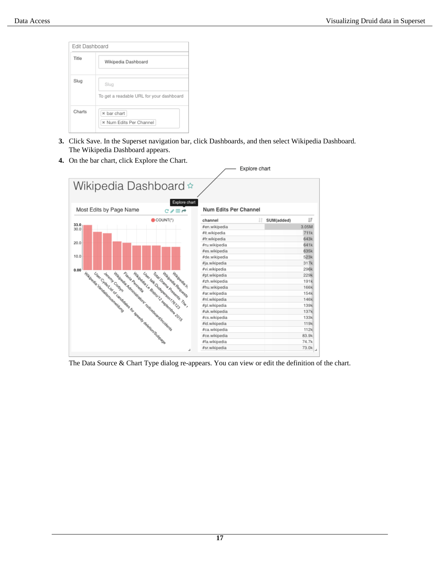| Title  | Wikipedia Dashboard                              |
|--------|--------------------------------------------------|
| Slug   | Slug<br>To get a readable URL for your dashboard |
| Charts | * bar chart<br>* Num Edits Per Channel           |

- **3.** Click Save. In the Superset navigation bar, click Dashboards, and then select Wikipedia Dashboard. The Wikipedia Dashboard appears.
- **4.** On the bar chart, click Explore the Chart.



The Data Source & Chart Type dialog re-appears. You can view or edit the definition of the chart.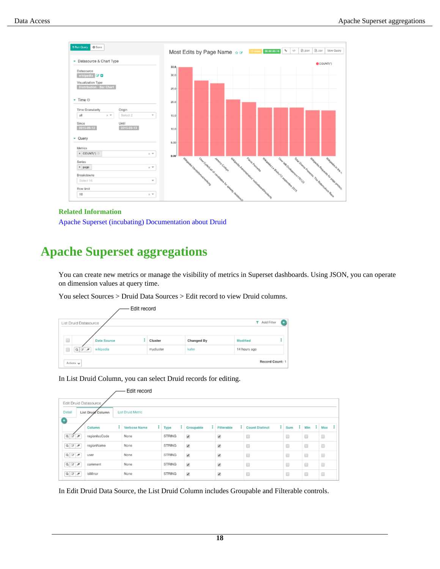

#### **Related Information**

[Apache Superset \(incubating\) Documentation about Druid](https://superset.incubator.apache.org/druid.html)

# <span id="page-17-0"></span>**Apache Superset aggregations**

You can create new metrics or manage the visibility of metrics in Superset dashboards. Using JSON, you can operate on dimension values at query time.

You select Sources > Druid Data Sources > Edit record to view Druid columns.

| Edit record                             |                       |                    |  |           |            |              |  |
|-----------------------------------------|-----------------------|--------------------|--|-----------|------------|--------------|--|
|                                         | List Druid Datasource |                    |  |           |            | T Add Filter |  |
|                                         |                       |                    |  |           |            |              |  |
| $\Box$                                  |                       | <b>Data Source</b> |  | Cluster   | Changed By | Modified     |  |
|                                         | QZ                    | wikipedia          |  | mycluster | kahn       | 14 hours ago |  |
| Record Count: 1<br>Actions $\mathbf{v}$ |                       |                    |  |           |            |              |  |

In List Druid Column, you can select Druid records for editing.

| Edit record                                             |               |              |               |                          |                            |                       |                      |                |                      |
|---------------------------------------------------------|---------------|--------------|---------------|--------------------------|----------------------------|-----------------------|----------------------|----------------|----------------------|
| Edit Druid Datasource                                   |               |              |               |                          |                            |                       |                      |                |                      |
| <b>List Druid Metric</b><br>Detail<br>List Druid Column |               |              |               |                          |                            |                       |                      |                |                      |
| o                                                       |               |              |               |                          |                            |                       |                      |                |                      |
|                                                         | Column        | Verbose Name | $1 - Type$    | 1<br>Groupable           | $\mathbf{I}$<br>Filterable | <b>Count Distinct</b> | t<br>Sum             | $\perp$<br>Min | - 1<br>Max           |
| $Q$ $B$                                                 | regionIscCode | None         | STRING        | $\overline{\mathcal{L}}$ | $\overline{\mathscr{L}}$   | Е                     | ▣                    | $\Box$         | ⊟                    |
| $Q_1 \nsubseteq Z$                                      | regionName    | None         | <b>STRING</b> | $\overline{\mathbf{v}}$  | ×                          | $\Box$                | ▣                    | 0              | ■                    |
| $Q$ $Z$ $H$                                             | <b>USBF</b>   | None         | STRING        | $\checkmark$             | $\overline{\mathcal{L}}$   | $\Box$                | $\qquad \qquad \Box$ | $\Box$         | $\Box$               |
| $Q$ $Z$ $Z$                                             | comment       | None         | <b>STRING</b> | $\checkmark$             | $\checkmark$               | E                     | ⊟                    | □              | $\qquad \qquad \Box$ |
| $Q \nightharpoonup p$                                   | isMinor       | None         | <b>STRING</b> | $\checkmark$             | $\overline{\mathcal{L}}$   | $\Box$                | $\Box$               | $\Box$         | $\Box$               |

In Edit Druid Data Source, the List Druid Column includes Groupable and Filterable controls.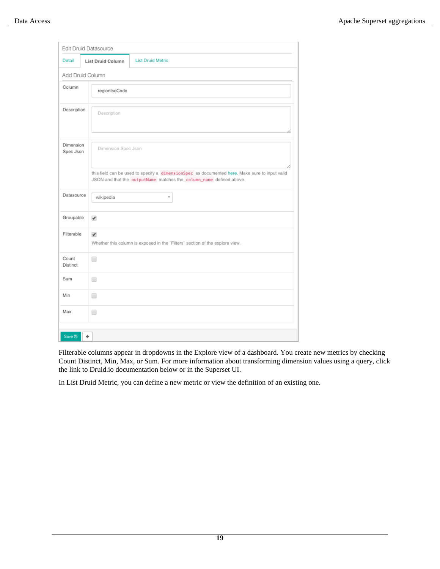|                            | Edit Druid Datasource                                                                        |                                                                                                                                                                       |  |  |  |  |  |
|----------------------------|----------------------------------------------------------------------------------------------|-----------------------------------------------------------------------------------------------------------------------------------------------------------------------|--|--|--|--|--|
| Detail                     | <b>List Druid Column</b>                                                                     | <b>List Druid Metric</b>                                                                                                                                              |  |  |  |  |  |
|                            | Add Druid Column                                                                             |                                                                                                                                                                       |  |  |  |  |  |
| Column                     | regionIsoCode                                                                                |                                                                                                                                                                       |  |  |  |  |  |
| Description<br>Description |                                                                                              |                                                                                                                                                                       |  |  |  |  |  |
| Dimension<br>Spec Json     |                                                                                              | Dimension Spec Json                                                                                                                                                   |  |  |  |  |  |
|                            |                                                                                              | this field can be used to specify a dimensionSpec as documented here. Make sure to input valid<br>JSON and that the outputName matches the column_name defined above. |  |  |  |  |  |
| Datasource                 | wikipedia                                                                                    | v                                                                                                                                                                     |  |  |  |  |  |
| Groupable                  | ✔                                                                                            |                                                                                                                                                                       |  |  |  |  |  |
| Filterable                 | $\checkmark$<br>Whether this column is exposed in the 'Filters' section of the explore view. |                                                                                                                                                                       |  |  |  |  |  |
| Count<br>Distinct          | □                                                                                            |                                                                                                                                                                       |  |  |  |  |  |
| Sum                        | □                                                                                            |                                                                                                                                                                       |  |  |  |  |  |
| Min                        | □                                                                                            |                                                                                                                                                                       |  |  |  |  |  |
| Max                        | $\Box$                                                                                       |                                                                                                                                                                       |  |  |  |  |  |
| Save El                    | $\leftarrow$                                                                                 |                                                                                                                                                                       |  |  |  |  |  |

Filterable columns appear in dropdowns in the Explore view of a dashboard. You create new metrics by checking Count Distinct, Min, Max, or Sum. For more information about transforming dimension values using a query, click the link to Druid.io documentation below or in the Superset UI.

In List Druid Metric, you can define a new metric or view the definition of an existing one.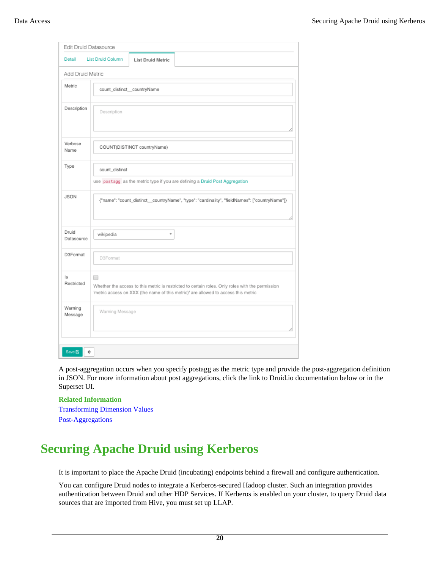|                     | Edit Druid Datasource      |                                                                                                                                                                                        |  |  |  |
|---------------------|----------------------------|----------------------------------------------------------------------------------------------------------------------------------------------------------------------------------------|--|--|--|
| Detail              | <b>List Druid Column</b>   | <b>List Druid Metric</b>                                                                                                                                                               |  |  |  |
| Add Druid Metric    |                            |                                                                                                                                                                                        |  |  |  |
| Metric              | count_distinct_countryName |                                                                                                                                                                                        |  |  |  |
| Description         | Description                |                                                                                                                                                                                        |  |  |  |
| Verbose<br>Name     |                            | COUNT(DISTINCT countryName)                                                                                                                                                            |  |  |  |
| Type                | count_distinct             | use postagg as the metric type if you are defining a Druid Post Aggregation                                                                                                            |  |  |  |
| <b>JSON</b>         |                            | {"name": "count_distinct__countryName", "type": "cardinality", "fieldNames": ["countryName"]}                                                                                          |  |  |  |
| Druid<br>Datasource | wikipedia                  | v                                                                                                                                                                                      |  |  |  |
| D3Format            | D3Format                   |                                                                                                                                                                                        |  |  |  |
| ls<br>Restricted    | □                          | Whether the access to this metric is restricted to certain roles. Only roles with the permission<br>'metric access on XXX (the name of this metric)' are allowed to access this metric |  |  |  |
| Warning<br>Message  | Warning Message            |                                                                                                                                                                                        |  |  |  |

A post-aggregation occurs when you specify postagg as the metric type and provide the post-aggregation definition in JSON. For more information about post aggregations, click the link to Druid.io documentation below or in the Superset UI.

#### **Related Information**

[Transforming Dimension Values](http://druid.io/docs/latest/querying/dimensionspecs.html) [Post-Aggregations](http://druid.io/docs/latest/querying/post-aggregations.html)

# <span id="page-19-0"></span>**Securing Apache Druid using Kerberos**

It is important to place the Apache Druid (incubating) endpoints behind a firewall and configure authentication.

You can configure Druid nodes to integrate a Kerberos-secured Hadoop cluster. Such an integration provides authentication between Druid and other HDP Services. If Kerberos is enabled on your cluster, to query Druid data sources that are imported from Hive, you must set up LLAP.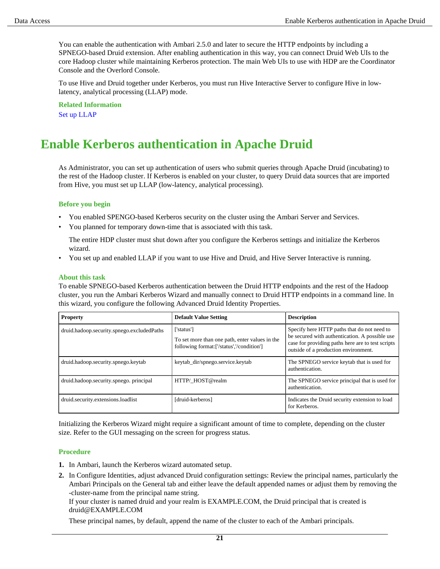You can enable the authentication with Ambari 2.5.0 and later to secure the HTTP endpoints by including a SPNEGO-based Druid extension. After enabling authentication in this way, you can connect Druid Web UIs to the core Hadoop cluster while maintaining Kerberos protection. The main Web UIs to use with HDP are the Coordinator Console and the Overlord Console.

To use Hive and Druid together under Kerberos, you must run Hive Interactive Server to configure Hive in lowlatency, analytical processing (LLAP) mode.

**Related Information** [Set up LLAP](https://docs.hortonworks.com/HDPDocuments/HDP3/HDP-3.1.0/performance-tuning/content/hive_optimizing_data_warehouse.html)

# <span id="page-20-0"></span>**Enable Kerberos authentication in Apache Druid**

As Administrator, you can set up authentication of users who submit queries through Apache Druid (incubating) to the rest of the Hadoop cluster. If Kerberos is enabled on your cluster, to query Druid data sources that are imported from Hive, you must set up LLAP (low-latency, analytical processing).

#### **Before you begin**

- You enabled SPENGO-based Kerberos security on the cluster using the Ambari Server and Services.
- You planned for temporary down-time that is associated with this task.

The entire HDP cluster must shut down after you configure the Kerberos settings and initialize the Kerberos wizard.

• You set up and enabled LLAP if you want to use Hive and Druid, and Hive Server Interactive is running.

#### **About this task**

To enable SPNEGO-based Kerberos authentication between the Druid HTTP endpoints and the rest of the Hadoop cluster, you run the Ambari Kerberos Wizard and manually connect to Druid HTTP endpoints in a command line. In this wizard, you configure the following Advanced Druid Identity Properties.

| <b>Property</b>                            | <b>Default Value Setting</b>                                                                              | <b>Description</b>                                                                                                                                                                         |
|--------------------------------------------|-----------------------------------------------------------------------------------------------------------|--------------------------------------------------------------------------------------------------------------------------------------------------------------------------------------------|
| druid.hadoop.security.spnego.excludedPaths | ['status']<br>To set more than one path, enter values in the<br>following format:['/status','/condition'] | Specify here HTTP paths that do not need to<br>be secured with authentication. A possible use<br>case for providing paths here are to test scripts<br>outside of a production environment. |
| druid.hadoop.security.spnego.keytab        | keytab_dir/spnego.service.keytab                                                                          | The SPNEGO service keytab that is used for<br>authentication.                                                                                                                              |
| druid.hadoop.security.spnego.principal     | HTTP/ HOST@realm                                                                                          | The SPNEGO service principal that is used for<br>authentication.                                                                                                                           |
| druid.security.extensions.loadlist         | [druid-kerberos]                                                                                          | Indicates the Druid security extension to load<br>for Kerberos.                                                                                                                            |

Initializing the Kerberos Wizard might require a significant amount of time to complete, depending on the cluster size. Refer to the GUI messaging on the screen for progress status.

#### **Procedure**

- **1.** In Ambari, launch the Kerberos wizard automated setup.
- **2.** In Configure Identities, adjust advanced Druid configuration settings: Review the principal names, particularly the Ambari Principals on the General tab and either leave the default appended names or adjust them by removing the -cluster-name from the principal name string.

If your cluster is named druid and your realm is EXAMPLE.COM, the Druid principal that is created is druid@EXAMPLE.COM

These principal names, by default, append the name of the cluster to each of the Ambari principals.